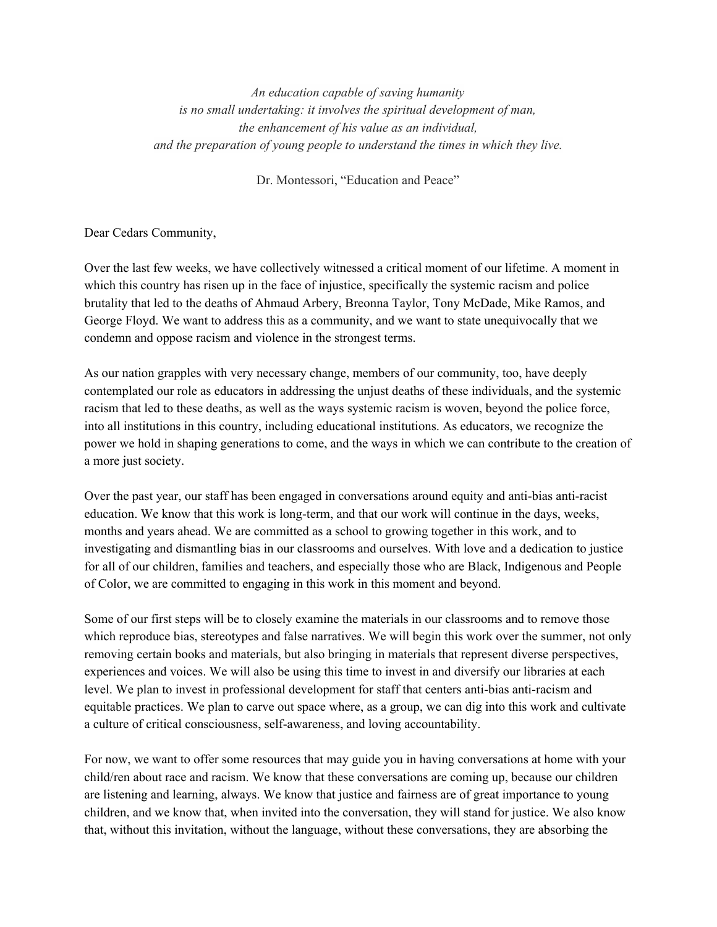*An education capable of saving humanity is no small undertaking: it involves the spiritual development of man, the enhancement of his value as an individual, and the preparation of young people to understand the times in which they live.*

Dr. Montessori, "Education and Peace"

Dear Cedars Community,

Over the last few weeks, we have collectively witnessed a critical moment of our lifetime. A moment in which this country has risen up in the face of injustice, specifically the systemic racism and police brutality that led to the deaths of Ahmaud Arbery, Breonna Taylor, Tony McDade, Mike Ramos, and George Floyd. We want to address this as a community, and we want to state unequivocally that we condemn and oppose racism and violence in the strongest terms.

As our nation grapples with very necessary change, members of our community, too, have deeply contemplated our role as educators in addressing the unjust deaths of these individuals, and the systemic racism that led to these deaths, as well as the ways systemic racism is woven, beyond the police force, into all institutions in this country, including educational institutions. As educators, we recognize the power we hold in shaping generations to come, and the ways in which we can contribute to the creation of a more just society.

Over the past year, our staff has been engaged in conversations around equity and anti-bias anti-racist education. We know that this work is long-term, and that our work will continue in the days, weeks, months and years ahead. We are committed as a school to growing together in this work, and to investigating and dismantling bias in our classrooms and ourselves. With love and a dedication to justice for all of our children, families and teachers, and especially those who are Black, Indigenous and People of Color, we are committed to engaging in this work in this moment and beyond.

Some of our first steps will be to closely examine the materials in our classrooms and to remove those which reproduce bias, stereotypes and false narratives. We will begin this work over the summer, not only removing certain books and materials, but also bringing in materials that represent diverse perspectives, experiences and voices. We will also be using this time to invest in and diversify our libraries at each level. We plan to invest in professional development for staff that centers anti-bias anti-racism and equitable practices. We plan to carve out space where, as a group, we can dig into this work and cultivate a culture of critical consciousness, self-awareness, and loving accountability.

For now, we want to offer some resources that may guide you in having conversations at home with your child/ren about race and racism. We know that these conversations are coming up, because our children are listening and learning, always. We know that justice and fairness are of great importance to young children, and we know that, when invited into the conversation, they will stand for justice. We also know that, without this invitation, without the language, without these conversations, they are absorbing the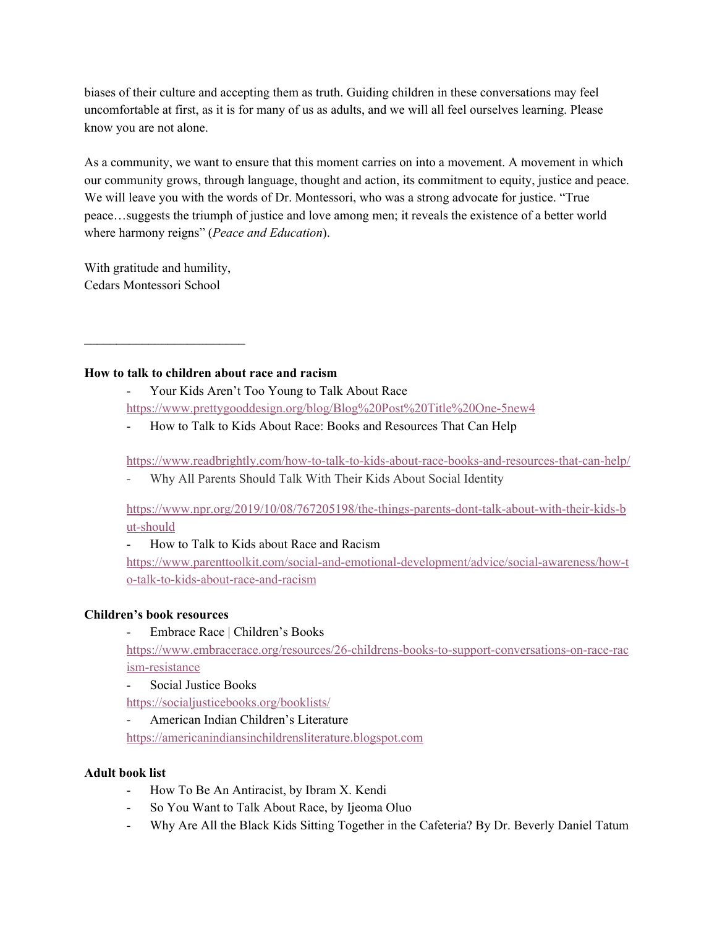biases of their culture and accepting them as truth. Guiding children in these conversations may feel uncomfortable at first, as it is for many of us as adults, and we will all feel ourselves learning. Please know you are not alone.

As a community, we want to ensure that this moment carries on into a movement. A movement in which our community grows, through language, thought and action, its commitment to equity, justice and peace. We will leave you with the words of Dr. Montessori, who was a strong advocate for justice. "True peace…suggests the triumph of justice and love among men; it reveals the existence of a better world where harmony reigns" (*Peace and Education*).

With gratitude and humility, Cedars Montessori School

 $\mathcal{L}_\text{max}$ 

### **How to talk to children about race and racism**

- Your Kids Aren't Too Young to Talk About Race <https://www.prettygooddesign.org/blog/Blog%20Post%20Title%20One-5new4>
- How to Talk to Kids About Race: Books and Resources That Can Help

<https://www.readbrightly.com/how-to-talk-to-kids-about-race-books-and-resources-that-can-help/>

- Why All Parents Should Talk With Their Kids About Social Identity

[https://www.npr.org/2019/10/08/767205198/the-things-parents-dont-talk-about-with-their-kids-b](https://www.npr.org/2019/10/08/767205198/the-things-parents-dont-talk-about-with-their-kids-but-should) [ut-should](https://www.npr.org/2019/10/08/767205198/the-things-parents-dont-talk-about-with-their-kids-but-should)

- How to Talk to Kids about Race and Racism

[https://www.parenttoolkit.com/social-and-emotional-development/advice/social-awareness/how-t](https://www.parenttoolkit.com/social-and-emotional-development/advice/social-awareness/how-to-talk-to-kids-about-race-and-racism) [o-talk-to-kids-about-race-and-racism](https://www.parenttoolkit.com/social-and-emotional-development/advice/social-awareness/how-to-talk-to-kids-about-race-and-racism)

# **Children's book resources**

- Embrace Race | Children's Books

[https://www.embracerace.org/resources/26-childrens-books-to-support-conversations-on-race-rac](https://www.embracerace.org/resources/26-childrens-books-to-support-conversations-on-race-racism-resistance) [ism-resistance](https://www.embracerace.org/resources/26-childrens-books-to-support-conversations-on-race-racism-resistance)

- Social Justice Books

<https://socialjusticebooks.org/booklists/>

- American Indian Children's Literature

[https://americanindiansinchildrensliterature.blogspot.com](https://americanindiansinchildrensliterature.blogspot.com/)

# **Adult book list**

- How To Be An Antiracist, by Ibram X. Kendi
- So You Want to Talk About Race, by Ijeoma Oluo
- Why Are All the Black Kids Sitting Together in the Cafeteria? By Dr. Beverly Daniel Tatum